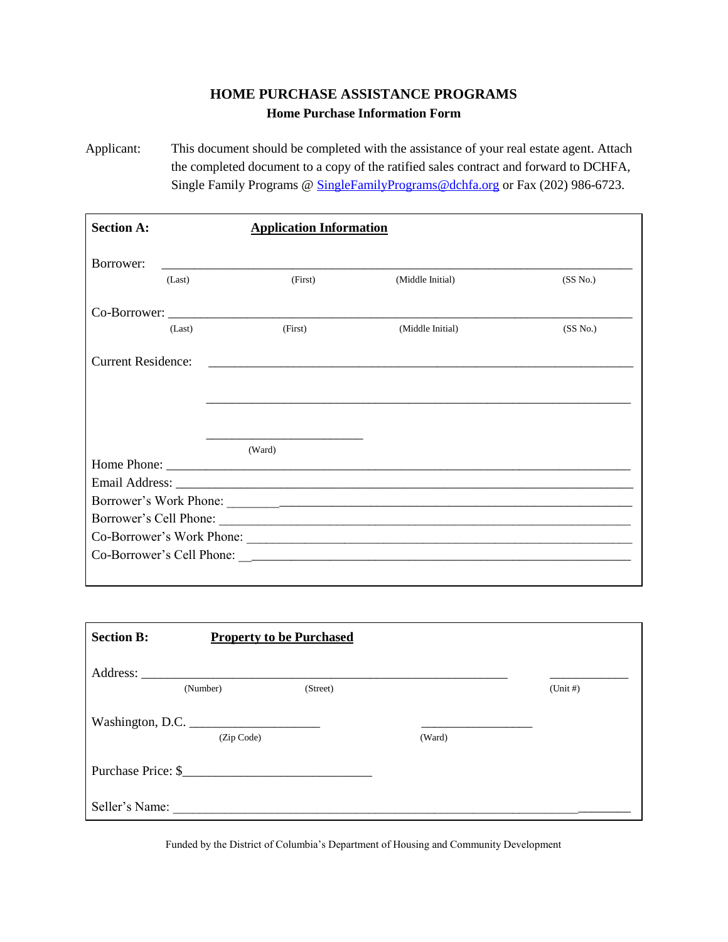## **HOME PURCHASE ASSISTANCE PROGRAMS Home Purchase Information Form**

Applicant: This document should be completed with the assistance of your real estate agent. Attach the completed document to a copy of the ratified sales contract and forward to DCHFA, Single Family Programs @ [SingleFamilyPrograms@dchfa.org](mailto:SingleFamilyPrograms@dchfa.org) or Fax (202) 986-6723.

| <b>Section A:</b>         |        | <b>Application Information</b> |                  |          |  |
|---------------------------|--------|--------------------------------|------------------|----------|--|
| Borrower:                 |        |                                |                  |          |  |
|                           | (Last) | (First)                        | (Middle Initial) | (SS No.) |  |
|                           |        |                                |                  |          |  |
|                           | (Last) | (First)                        | (Middle Initial) | (SS No.) |  |
| <b>Current Residence:</b> |        |                                |                  |          |  |
|                           |        | (Ward)                         |                  |          |  |
|                           |        |                                |                  |          |  |
|                           |        |                                |                  |          |  |
|                           |        |                                |                  |          |  |
|                           |        |                                |                  |          |  |
|                           |        |                                |                  |          |  |
|                           |        |                                |                  |          |  |

| <b>Section B:</b> |                    | <b>Property to be Purchased</b> |        |          |
|-------------------|--------------------|---------------------------------|--------|----------|
|                   |                    |                                 |        |          |
|                   | (Number)           | (Street)                        |        | (Unit H) |
| Washington, D.C.  |                    |                                 |        |          |
|                   | (Zip Code)         |                                 | (Ward) |          |
|                   | Purchase Price: \$ |                                 |        |          |
| Seller's Name:    |                    |                                 |        |          |

Funded by the District of Columbia's Department of Housing and Community Development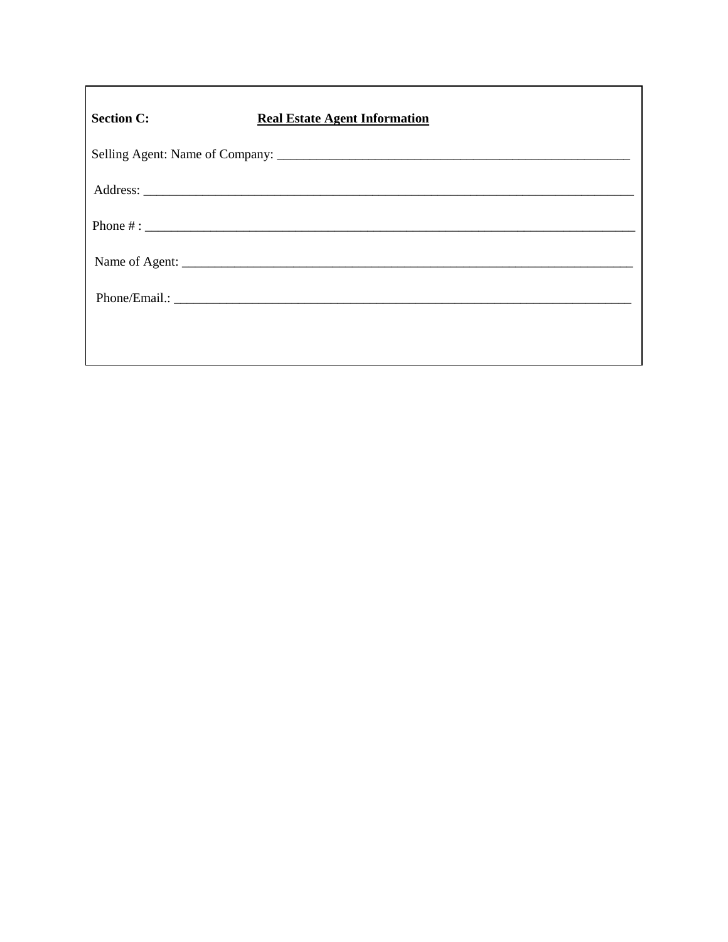| <b>Section C:</b> | <b>Real Estate Agent Information</b> |  |
|-------------------|--------------------------------------|--|
|                   |                                      |  |
|                   |                                      |  |
|                   |                                      |  |
|                   |                                      |  |
|                   |                                      |  |
|                   |                                      |  |
|                   |                                      |  |